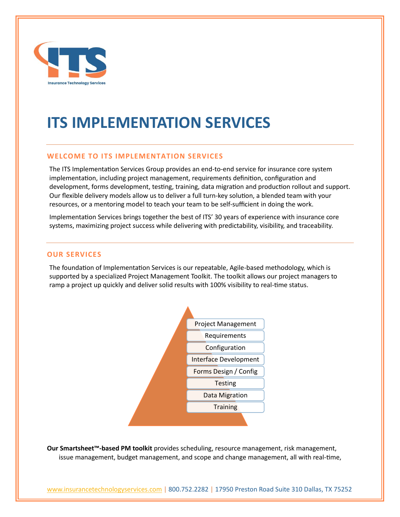

# **ITS IMPLEMENTATION SERVICES**

## **WELCOME TO ITS IMPLEMENTATION SERVICES**

The ITS Implementation Services Group provides an end-to-end service for insurance core system implementation, including project management, requirements definition, configuration and development, forms development, testing, training, data migration and production rollout and support. Our flexible delivery models allow us to deliver a full turn-key solution, a blended team with your resources, or a mentoring model to teach your team to be self-sufficient in doing the work.

Implementation Services brings together the best of ITS' 30 years of experience with insurance core systems, maximizing project success while delivering with predictability, visibility, and traceability.

#### **OUR SERVICES**

The foundation of Implementation Services is our repeatable, Agile-based methodology, which is supported by a specialized Project Management Toolkit. The toolkit allows our project managers to ramp a project up quickly and deliver solid results with 100% visibility to real-time status.



**Our Smartsheet™-based PM toolkit** provides scheduling, resource management, risk management, issue management, budget management, and scope and change management, all with real-time,